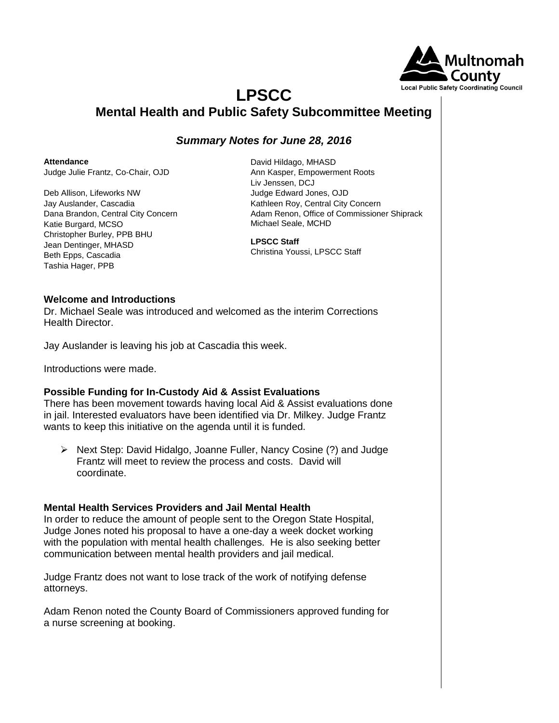

# **LPSCC Mental Health and Public Safety Subcommittee Meeting**

## *Summary Notes for June 28, 2016*

**Attendance**

Judge Julie Frantz, Co-Chair, OJD

Deb Allison, Lifeworks NW Jay Auslander, Cascadia Dana Brandon, Central City Concern Katie Burgard, MCSO Christopher Burley, PPB BHU Jean Dentinger, MHASD Beth Epps, Cascadia Tashia Hager, PPB

David Hildago, MHASD Ann Kasper, Empowerment Roots Liv Jenssen, DCJ Judge Edward Jones, OJD Kathleen Roy, Central City Concern Adam Renon, Office of Commissioner Shiprack Michael Seale, MCHD

**LPSCC Staff** Christina Youssi, LPSCC Staff

#### **Welcome and Introductions**

Dr. Michael Seale was introduced and welcomed as the interim Corrections Health Director.

Jay Auslander is leaving his job at Cascadia this week.

Introductions were made.

### **Possible Funding for In-Custody Aid & Assist Evaluations**

There has been movement towards having local Aid & Assist evaluations done in jail. Interested evaluators have been identified via Dr. Milkey. Judge Frantz wants to keep this initiative on the agenda until it is funded.

 $\triangleright$  Next Step: David Hidalgo, Joanne Fuller, Nancy Cosine (?) and Judge Frantz will meet to review the process and costs. David will coordinate.

### **Mental Health Services Providers and Jail Mental Health**

In order to reduce the amount of people sent to the Oregon State Hospital, Judge Jones noted his proposal to have a one-day a week docket working with the population with mental health challenges. He is also seeking better communication between mental health providers and jail medical.

Judge Frantz does not want to lose track of the work of notifying defense attorneys.

Adam Renon noted the County Board of Commissioners approved funding for a nurse screening at booking.